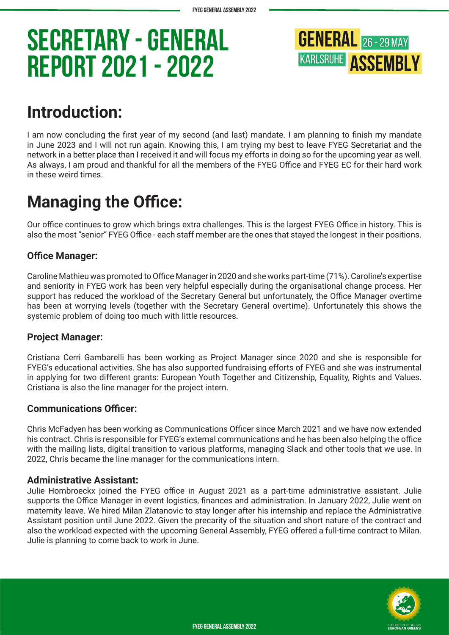

### **Introduction:**

I am now concluding the first year of my second (and last) mandate. I am planning to finish my mandate in June 2023 and I will not run again. Knowing this, I am trying my best to leave FYEG Secretariat and the network in a better place than I received it and will focus my efforts in doing so for the upcoming year as well. As always, I am proud and thankful for all the members of the FYEG Office and FYEG EC for their hard work in these weird times.

## **Managing the Office:**

Our office continues to grow which brings extra challenges. This is the largest FYEG Office in history. This is also the most "senior" FYEG Office - each staff member are the ones that stayed the longest in their positions.

### **Office Manager:**

Caroline Mathieu was promoted to Office Manager in 2020 and she works part-time (71%). Caroline's expertise and seniority in FYEG work has been very helpful especially during the organisational change process. Her support has reduced the workload of the Secretary General but unfortunately, the Office Manager overtime has been at worrying levels (together with the Secretary General overtime). Unfortunately this shows the systemic problem of doing too much with little resources.

### **Project Manager:**

Cristiana Cerri Gambarelli has been working as Project Manager since 2020 and she is responsible for FYEG's educational activities. She has also supported fundraising efforts of FYEG and she was instrumental in applying for two different grants: European Youth Together and Citizenship, Equality, Rights and Values. Cristiana is also the line manager for the project intern.

### **Communications Officer:**

Chris McFadyen has been working as Communications Officer since March 2021 and we have now extended his contract. Chris is responsible for FYEG's external communications and he has been also helping the office with the mailing lists, digital transition to various platforms, managing Slack and other tools that we use. In 2022, Chris became the line manager for the communications intern.

#### **Administrative Assistant:**

Julie Hombroeckx joined the FYEG office in August 2021 as a part-time administrative assistant. Julie supports the Office Manager in event logistics, finances and administration. In January 2022, Julie went on maternity leave. We hired Milan Zlatanovic to stay longer after his internship and replace the Administrative Assistant position until June 2022. Given the precarity of the situation and short nature of the contract and also the workload expected with the upcoming General Assembly, FYEG offered a full-time contract to Milan. Julie is planning to come back to work in June.

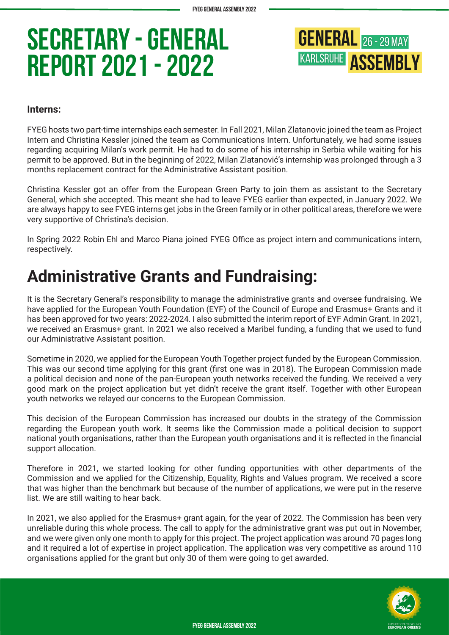**GENERAL** 26 - 29 MAY **KARLSRUHE ASSEMBLY** 

#### **Interns:**

FYEG hosts two part-time internships each semester. In Fall 2021, Milan Zlatanovic joined the team as Project Intern and Christina Kessler joined the team as Communications Intern. Unfortunately, we had some issues regarding acquiring Milan's work permit. He had to do some of his internship in Serbia while waiting for his permit to be approved. But in the beginning of 2022, Milan Zlatanović's internship was prolonged through a 3 months replacement contract for the Administrative Assistant position.

Christina Kessler got an offer from the European Green Party to join them as assistant to the Secretary General, which she accepted. This meant she had to leave FYEG earlier than expected, in January 2022. We are always happy to see FYEG interns get jobs in the Green family or in other political areas, therefore we were very supportive of Christina's decision.

In Spring 2022 Robin Ehl and Marco Piana joined FYEG Office as project intern and communications intern, respectively.

### **Administrative Grants and Fundraising:**

It is the Secretary General's responsibility to manage the administrative grants and oversee fundraising. We have applied for the European Youth Foundation (EYF) of the Council of Europe and Erasmus+ Grants and it has been approved for two years: 2022-2024. I also submitted the interim report of EYF Admin Grant. In 2021, we received an Erasmus+ grant. In 2021 we also received a Maribel funding, a funding that we used to fund our Administrative Assistant position.

Sometime in 2020, we applied for the European Youth Together project funded by the European Commission. This was our second time applying for this grant (first one was in 2018). The European Commission made a political decision and none of the pan-European youth networks received the funding. We received a very good mark on the project application but yet didn't receive the grant itself. Together with other European youth networks we relayed our concerns to the European Commission.

This decision of the European Commission has increased our doubts in the strategy of the Commission regarding the European youth work. It seems like the Commission made a political decision to support national youth organisations, rather than the European youth organisations and it is reflected in the financial support allocation.

Therefore in 2021, we started looking for other funding opportunities with other departments of the Commission and we applied for the Citizenship, Equality, Rights and Values program. We received a score that was higher than the benchmark but because of the number of applications, we were put in the reserve list. We are still waiting to hear back.

In 2021, we also applied for the Erasmus+ grant again, for the year of 2022. The Commission has been very unreliable during this whole process. The call to apply for the administrative grant was put out in November, and we were given only one month to apply for this project. The project application was around 70 pages long and it required a lot of expertise in project application. The application was very competitive as around 110 organisations applied for the grant but only 30 of them were going to get awarded.

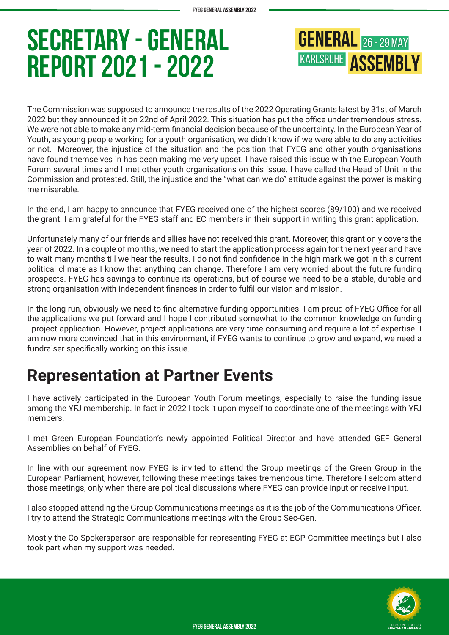**GENERAL** 26 - 29 MAY **KARLSRUHE ASSEMBLY** 

The Commission was supposed to announce the results of the 2022 Operating Grants latest by 31st of March 2022 but they announced it on 22nd of April 2022. This situation has put the office under tremendous stress. We were not able to make any mid-term financial decision because of the uncertainty. In the European Year of Youth, as young people working for a youth organisation, we didn't know if we were able to do any activities or not. Moreover, the injustice of the situation and the position that FYEG and other youth organisations have found themselves in has been making me very upset. I have raised this issue with the European Youth Forum several times and I met other youth organisations on this issue. I have called the Head of Unit in the Commission and protested. Still, the injustice and the "what can we do" attitude against the power is making me miserable.

In the end, I am happy to announce that FYEG received one of the highest scores (89/100) and we received the grant. I am grateful for the FYEG staff and EC members in their support in writing this grant application.

Unfortunately many of our friends and allies have not received this grant. Moreover, this grant only covers the year of 2022. In a couple of months, we need to start the application process again for the next year and have to wait many months till we hear the results. I do not find confidence in the high mark we got in this current political climate as I know that anything can change. Therefore I am very worried about the future funding prospects. FYEG has savings to continue its operations, but of course we need to be a stable, durable and strong organisation with independent finances in order to fulfil our vision and mission.

In the long run, obviously we need to find alternative funding opportunities. I am proud of FYEG Office for all the applications we put forward and I hope I contributed somewhat to the common knowledge on funding - project application. However, project applications are very time consuming and require a lot of expertise. I am now more convinced that in this environment, if FYEG wants to continue to grow and expand, we need a fundraiser specifically working on this issue.

### **Representation at Partner Events**

I have actively participated in the European Youth Forum meetings, especially to raise the funding issue among the YFJ membership. In fact in 2022 I took it upon myself to coordinate one of the meetings with YFJ members.

I met Green European Foundation's newly appointed Political Director and have attended GEF General Assemblies on behalf of FYEG.

In line with our agreement now FYEG is invited to attend the Group meetings of the Green Group in the European Parliament, however, following these meetings takes tremendous time. Therefore I seldom attend those meetings, only when there are political discussions where FYEG can provide input or receive input.

I also stopped attending the Group Communications meetings as it is the job of the Communications Officer. I try to attend the Strategic Communications meetings with the Group Sec-Gen.

Mostly the Co-Spokersperson are responsible for representing FYEG at EGP Committee meetings but I also took part when my support was needed.